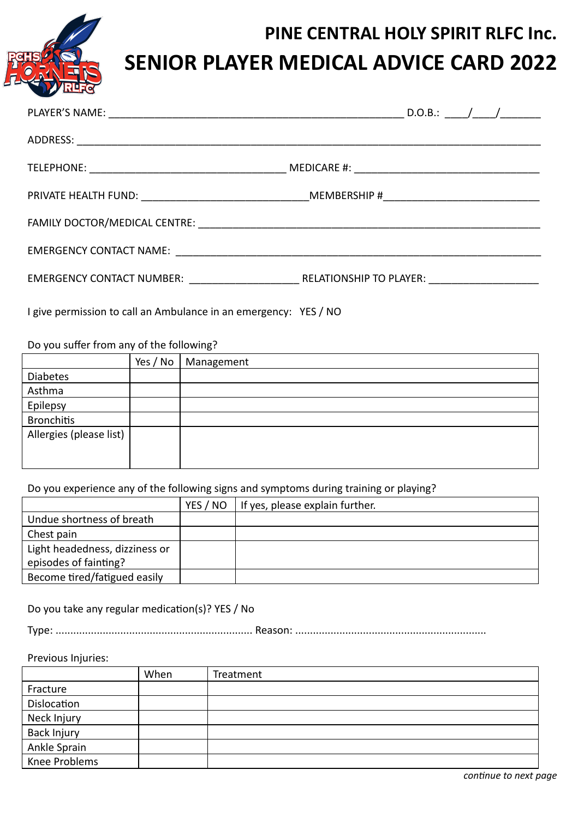

| EMERGENCY CONTACT NUMBER: RELATIONSHIP TO PLAYER: |  |
|---------------------------------------------------|--|

I give permission to call an Ambulance in an emergency: YES / NO

Do you suffer from any of the following?

|                         | Yes / No | Management |
|-------------------------|----------|------------|
| Diabetes                |          |            |
| Asthma                  |          |            |
| Epilepsy                |          |            |
| <b>Bronchitis</b>       |          |            |
| Allergies (please list) |          |            |
|                         |          |            |
|                         |          |            |

Do you experience any of the following signs and symptoms during training or playing?

|                                | YES / NO | If yes, please explain further. |
|--------------------------------|----------|---------------------------------|
| Undue shortness of breath      |          |                                 |
| Chest pain                     |          |                                 |
| Light headedness, dizziness or |          |                                 |
| episodes of fainting?          |          |                                 |
| Become tired/fatigued easily   |          |                                 |

Do you take any regular medication(s)? YES / No

Type: ................................................................... Reason: .................................................................

## Previous Injuries:

|               | When | Treatment |  |  |
|---------------|------|-----------|--|--|
| Fracture      |      |           |  |  |
| Dislocation   |      |           |  |  |
| Neck Injury   |      |           |  |  |
| Back Injury   |      |           |  |  |
| Ankle Sprain  |      |           |  |  |
| Knee Problems |      |           |  |  |